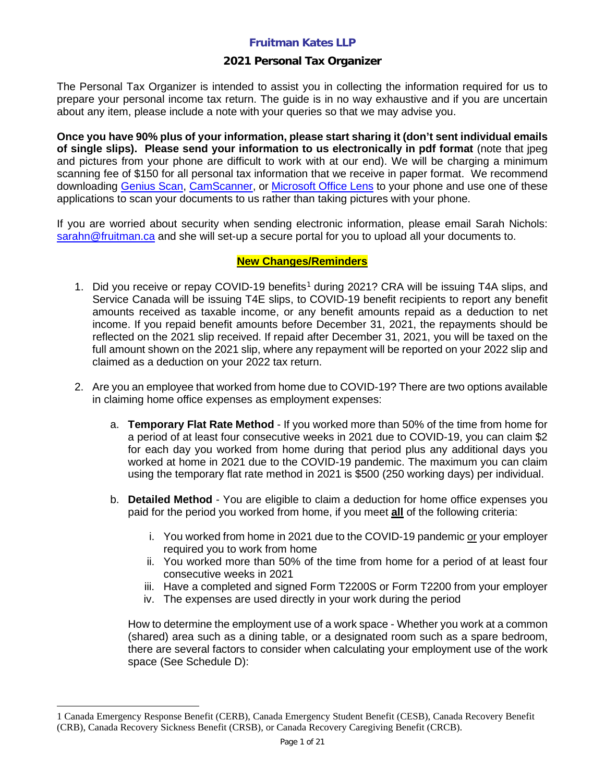### **2021 Personal Tax Organizer**

The Personal Tax Organizer is intended to assist you in collecting the information required for us to prepare your personal income tax return. The guide is in no way exhaustive and if you are uncertain about any item, please include a note with your queries so that we may advise you.

**Once you have 90% plus of your information, please start sharing it (don't sent individual emails of single slips). Please send your information to us electronically in pdf format** (note that jpeg and pictures from your phone are difficult to work with at our end). We will be charging a minimum scanning fee of \$150 for all personal tax information that we receive in paper format. We recommend downloading [Genius Scan,](https://apps.apple.com/us/app/genius-scan-pdf-scanner/id377672876) [CamScanner,](https://apps.apple.com/us/app/camscanner-pdf-scanner-app/id388627783) or [Microsoft Office Lens](https://support.microsoft.com/en-us/office/office-lens-for-windows-577ec09d-8da2-4029-8bb7-12f8114f472a) to your phone and use one of these applications to scan your documents to us rather than taking pictures with your phone.

If you are worried about security when sending electronic information, please email Sarah Nichols: [sarahn@fruitman.ca](mailto:sarahn@fruitman.ca) and she will set-up a secure portal for you to upload all your documents to.

#### **New Changes/Reminders**

- [1](#page-0-0). Did you receive or repay COVID-19 benefits<sup>1</sup> during 2021? CRA will be issuing T4A slips, and Service Canada will be issuing T4E slips, to COVID-19 benefit recipients to report any benefit amounts received as taxable income, or any benefit amounts repaid as a deduction to net income. If you repaid benefit amounts before December 31, 2021, the repayments should be reflected on the 2021 slip received. If repaid after December 31, 2021, you will be taxed on the full amount shown on the 2021 slip, where any repayment will be reported on your 2022 slip and claimed as a deduction on your 2022 tax return.
- 2. Are you an employee that worked from home due to COVID-19? There are two options available in claiming home office expenses as employment expenses:
	- a. **Temporary Flat Rate Method** If you worked more than 50% of the time from home for a period of at least four consecutive weeks in 2021 due to COVID-19, you can claim \$2 for each day you worked from home during that period plus any additional days you worked at home in 2021 due to the COVID-19 pandemic. The maximum you can claim using the temporary flat rate method in 2021 is \$500 (250 working days) per individual.
	- b. **Detailed Method** You are eligible to claim a deduction for home office expenses you paid for the period you worked from home, if you meet **all** of the following criteria:
		- i. You worked from home in 2021 due to the COVID-19 pandemic or your employer required you to work from home
		- ii. You worked more than 50% of the time from home for a period of at least four consecutive weeks in 2021
		- iii. Have a completed and signed Form T2200S or Form T2200 from your employer
		- iv. The expenses are used directly in your work during the period

How to determine the employment use of a work space - Whether you work at a common (shared) area such as a dining table, or a designated room such as a spare bedroom, there are several factors to consider when calculating your employment use of the work space (See Schedule D):

<span id="page-0-0"></span><sup>1</sup> Canada Emergency Response Benefit (CERB), Canada Emergency Student Benefit (CESB), Canada Recovery Benefit (CRB), Canada Recovery Sickness Benefit (CRSB), or Canada Recovery Caregiving Benefit (CRCB).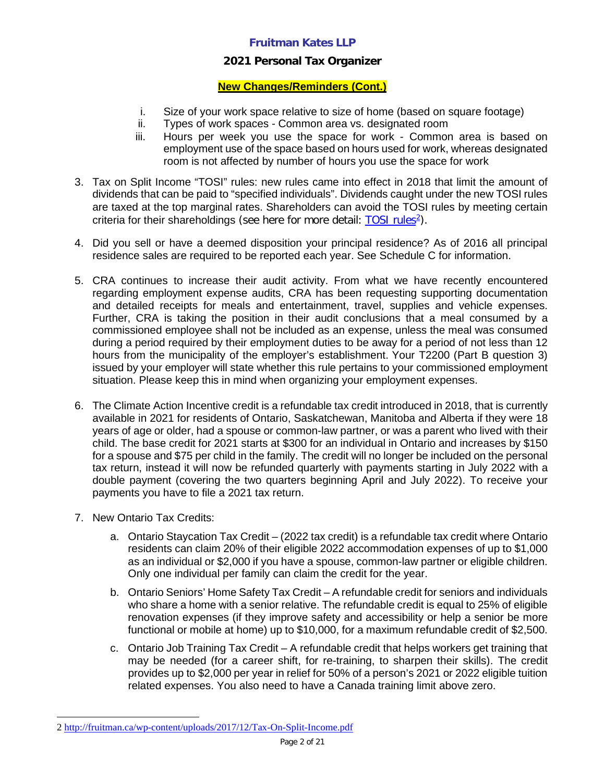### **2021 Personal Tax Organizer**

### **New Changes/Reminders (Cont.)**

- i. Size of your work space relative to size of home (based on square footage)
- ii. Types of work spaces Common area vs. designated room
- iii. Hours per week you use the space for work Common area is based on employment use of the space based on hours used for work, whereas designated room is not affected by number of hours you use the space for work
- 3. Tax on Split Income "TOSI" rules: new rules came into effect in 2018 that limit the amount of dividends that can be paid to "specified individuals". Dividends caught under the new TOSI rules are taxed at the top marginal rates. Shareholders can avoid the TOSI rules by meeting certain criteria for their shareholdings (see here for more detail: TOSI rules<sup>2</sup>).
- 4. Did you sell or have a deemed disposition your principal residence? As of 2016 all principal residence sales are required to be reported each year. See Schedule C for information.
- 5. CRA continues to increase their audit activity. From what we have recently encountered regarding employment expense audits, CRA has been requesting supporting documentation and detailed receipts for meals and entertainment, travel, supplies and vehicle expenses. Further, CRA is taking the position in their audit conclusions that a meal consumed by a commissioned employee shall not be included as an expense, unless the meal was consumed during a period required by their employment duties to be away for a period of not less than 12 hours from the municipality of the employer's establishment. Your T2200 (Part B question 3) issued by your employer will state whether this rule pertains to your commissioned employment situation. Please keep this in mind when organizing your employment expenses.
- 6. The Climate Action Incentive credit is a refundable tax credit introduced in 2018, that is currently available in 2021 for residents of Ontario, Saskatchewan, Manitoba and Alberta if they were 18 years of age or older, had a spouse or common-law partner, or was a parent who lived with their child. The base credit for 2021 starts at \$300 for an individual in Ontario and increases by \$150 for a spouse and \$75 per child in the family. The credit will no longer be included on the personal tax return, instead it will now be refunded quarterly with payments starting in July 2022 with a double payment (covering the two quarters beginning April and July 2022). To receive your payments you have to file a 2021 tax return.
- 7. New Ontario Tax Credits:
	- a. Ontario Staycation Tax Credit (2022 tax credit) is a refundable tax credit where Ontario residents can claim 20% of their eligible 2022 accommodation expenses of up to \$1,000 as an individual or \$2,000 if you have a spouse, common-law partner or eligible children. Only one individual per family can claim the credit for the year.
	- b. Ontario Seniors' Home Safety Tax Credit A refundable credit for seniors and individuals who share a home with a senior relative. The refundable credit is equal to 25% of eligible renovation expenses (if they improve safety and accessibility or help a senior be more functional or mobile at home) up to \$10,000, for a maximum refundable credit of \$2,500.
	- c. Ontario Job Training Tax Credit A refundable credit that helps workers get training that may be needed (for a career shift, for re-training, to sharpen their skills). The credit provides up to \$2,000 per year in relief for 50% of a person's 2021 or 2022 eligible tuition related expenses. You also need to have a Canada training limit above zero.

<span id="page-1-0"></span><sup>2</sup> <http://fruitman.ca/wp-content/uploads/2017/12/Tax-On-Split-Income.pdf>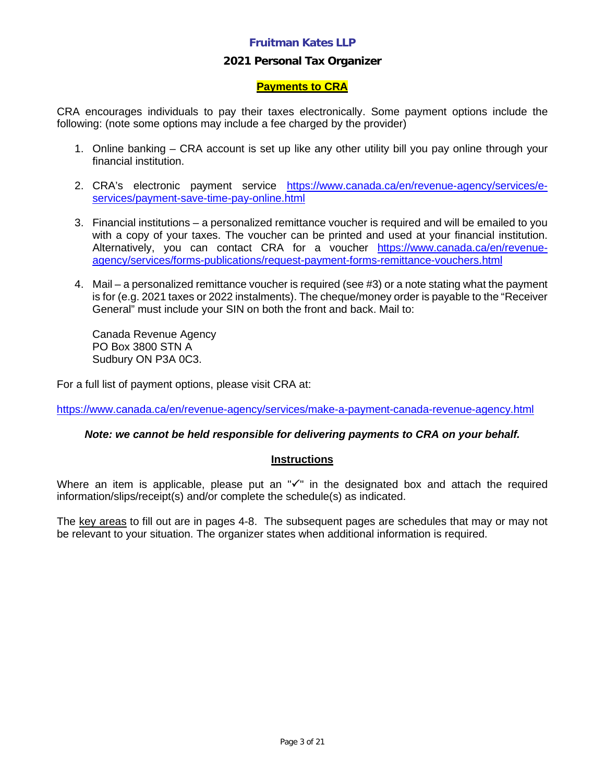#### **2021 Personal Tax Organizer**

### **Payments to CRA**

CRA encourages individuals to pay their taxes electronically. Some payment options include the following: (note some options may include a fee charged by the provider)

- 1. Online banking CRA account is set up like any other utility bill you pay online through your financial institution.
- 2. CRA's electronic payment service https://www.canada.ca/en/revenue-agency/services/eservices/payment-save-time-pay-online.html
- 3. Financial institutions a personalized remittance voucher is required and will be emailed to you with a copy of your taxes. The voucher can be printed and used at your financial institution. Alternatively, you can contact CRA for a voucher https://www.canada.ca/en/revenueagency/services/forms-publications/request-payment-forms-remittance-vouchers.html
- 4. Mail a personalized remittance voucher is required (see #3) or a note stating what the payment is for (e.g. 2021 taxes or 2022 instalments). The cheque/money order is payable to the "Receiver General" must include your SIN on both the front and back. Mail to:

Canada Revenue Agency PO Box 3800 STN A Sudbury ON P3A 0C3.

For a full list of payment options, please visit CRA at:

https://www.canada.ca/en/revenue-agency/services/make-a-payment-canada-revenue-agency.html

*Note: we cannot be held responsible for delivering payments to CRA on your behalf.* 

#### **Instructions**

Where an item is applicable, please put an  $\sqrt{ }$ " in the designated box and attach the required information/slips/receipt(s) and/or complete the schedule(s) as indicated.

The key areas to fill out are in pages 4-8. The subsequent pages are schedules that may or may not be relevant to your situation. The organizer states when additional information is required.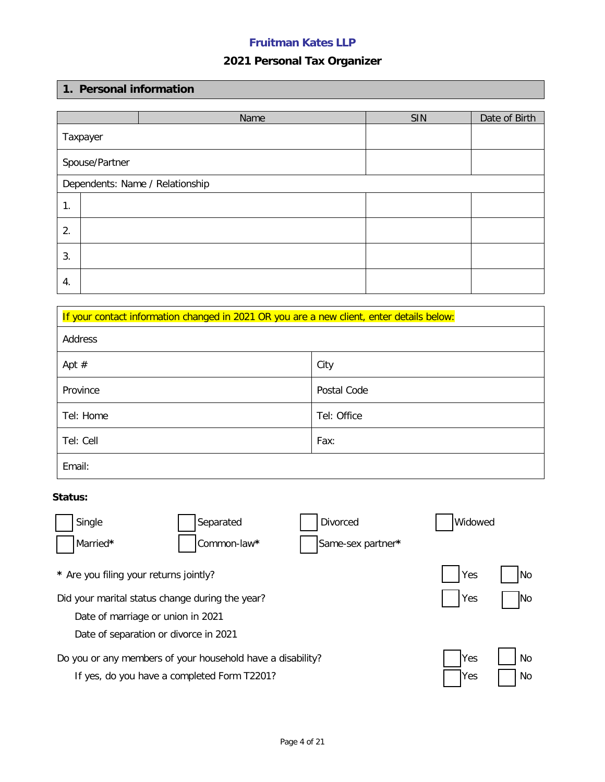# **2021 Personal Tax Organizer**

## **1. Personal information**

|                |                                 | Name | SIN | Date of Birth |  |
|----------------|---------------------------------|------|-----|---------------|--|
| Taxpayer       |                                 |      |     |               |  |
| Spouse/Partner |                                 |      |     |               |  |
|                | Dependents: Name / Relationship |      |     |               |  |
| 1.             |                                 |      |     |               |  |
| 2.             |                                 |      |     |               |  |
| 3.             |                                 |      |     |               |  |
| 4.             |                                 |      |     |               |  |

| If your contact information changed in 2021 OR you are a new client, enter details below: |             |  |  |  |
|-------------------------------------------------------------------------------------------|-------------|--|--|--|
| Address                                                                                   |             |  |  |  |
| Apt $#$                                                                                   | City        |  |  |  |
| Province                                                                                  | Postal Code |  |  |  |
| Tel: Home                                                                                 | Tel: Office |  |  |  |
| Tel: Cell                                                                                 | Fax:        |  |  |  |
| Email:                                                                                    |             |  |  |  |

### **Status:**

| Single                                                     | Separated                                   | Divorced          | Widowed     |      |
|------------------------------------------------------------|---------------------------------------------|-------------------|-------------|------|
| Married*                                                   | Common-law*                                 | Same-sex partner* |             |      |
| * Are you filing your returns jointly?                     |                                             |                   | Yes         | l No |
| Did your marital status change during the year?            | Yes                                         | <b>No</b>         |             |      |
| Date of marriage or union in 2021                          |                                             |                   |             |      |
| Date of separation or divorce in 2021                      |                                             |                   |             |      |
| Do you or any members of your household have a disability? | <b>Yes</b>                                  | <b>No</b>         |             |      |
|                                                            | If yes, do you have a completed Form T2201? |                   | <b>IYes</b> | No   |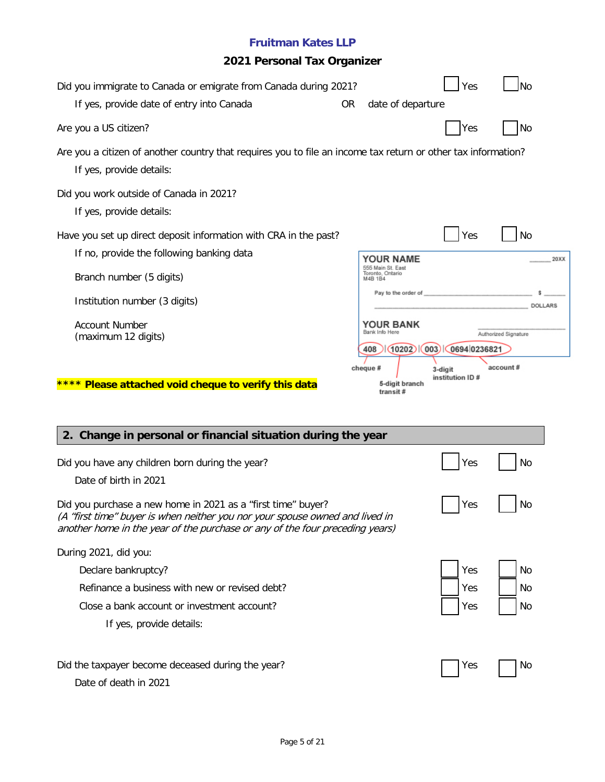# **2021 Personal Tax Organizer**

| Did you immigrate to Canada or emigrate from Canada during 2021?<br>If yes, provide date of entry into Canada                                                                                                                | <b>OR</b> | date of departure                                              | Yes                         | <b>No</b>            |
|------------------------------------------------------------------------------------------------------------------------------------------------------------------------------------------------------------------------------|-----------|----------------------------------------------------------------|-----------------------------|----------------------|
| Are you a US citizen?                                                                                                                                                                                                        |           |                                                                | Yes                         | <b>No</b>            |
| Are you a citizen of another country that requires you to file an income tax return or other tax information?<br>If yes, provide details:                                                                                    |           |                                                                |                             |                      |
| Did you work outside of Canada in 2021?<br>If yes, provide details:                                                                                                                                                          |           |                                                                |                             |                      |
| Have you set up direct deposit information with CRA in the past?<br>If no, provide the following banking data<br>Branch number (5 digits)                                                                                    |           | YOUR NAME<br>555 Main St. East<br>Toronto, Ontario<br>M4B 1B4  | Yes                         | No<br>20XX           |
| Institution number (3 digits)                                                                                                                                                                                                |           | Pay to the order of                                            |                             | DOLLARS              |
| <b>Account Number</b><br>(maximum 12 digits)                                                                                                                                                                                 |           | <b>YOUR BANK</b><br>Bank Info Here<br>$(10202)$ $(003)$<br>408 | 0694 0236821                | Authorized Signature |
| **** Please attached void cheque to verify this data<br>2. Change in personal or financial situation during the year                                                                                                         |           | cheque #<br>5-digit branch<br>transit#                         | 3-digit<br>institution ID # | account#             |
| Did you have any children born during the year?<br>Date of birth in 2021                                                                                                                                                     |           |                                                                | Yes                         | No                   |
| Did you purchase a new home in 2021 as a "first time" buyer?<br>(A "first time" buyer is when neither you nor your spouse owned and lived in<br>another home in the year of the purchase or any of the four preceding years) |           |                                                                | Yes                         | No                   |
| During 2021, did you:                                                                                                                                                                                                        |           |                                                                |                             |                      |
| Declare bankruptcy?                                                                                                                                                                                                          |           |                                                                | Yes                         | No                   |
| Refinance a business with new or revised debt?                                                                                                                                                                               |           |                                                                |                             |                      |
|                                                                                                                                                                                                                              |           |                                                                | Yes                         | No                   |
| Close a bank account or investment account?<br>If yes, provide details:                                                                                                                                                      |           |                                                                | Yes                         | No                   |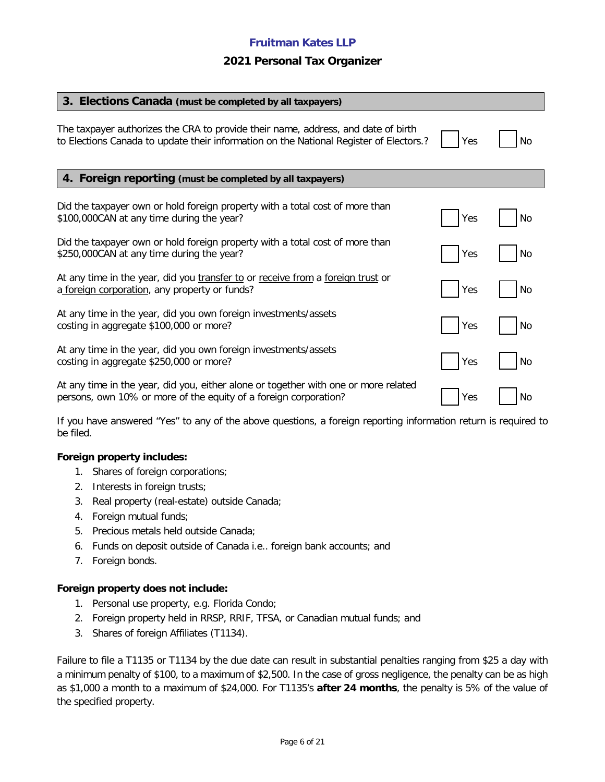#### **2021 Personal Tax Organizer**

| 3. Elections Canada (must be completed by all taxpayers)                                                                                                                    |     |    |
|-----------------------------------------------------------------------------------------------------------------------------------------------------------------------------|-----|----|
| The taxpayer authorizes the CRA to provide their name, address, and date of birth<br>to Elections Canada to update their information on the National Register of Electors.? | Yes | No |
| 4. Foreign reporting (must be completed by all taxpayers)                                                                                                                   |     |    |
| Did the taxpayer own or hold foreign property with a total cost of more than<br>\$100,000CAN at any time during the year?                                                   | Yes | No |
| Did the taxpayer own or hold foreign property with a total cost of more than<br>\$250,000CAN at any time during the year?                                                   | Yes | No |
| At any time in the year, did you transfer to or receive from a foreign trust or<br>a foreign corporation, any property or funds?                                            | Yes | No |
| At any time in the year, did you own foreign investments/assets<br>costing in aggregate \$100,000 or more?                                                                  | Yes | No |
| At any time in the year, did you own foreign investments/assets<br>costing in aggregate \$250,000 or more?                                                                  | Yes | No |
| At any time in the year, did you, either alone or together with one or more related<br>persons, own 10% or more of the equity of a foreign corporation?                     | Yes | No |

If you have answered "Yes" to any of the above questions, a foreign reporting information return is required to be filed.

#### **Foreign property includes:**

- 1. Shares of foreign corporations;
- 2. Interests in foreign trusts;
- 3. Real property (real-estate) outside Canada;
- 4. Foreign mutual funds;
- 5. Precious metals held outside Canada;
- 6. Funds on deposit outside of Canada i.e.. foreign bank accounts; and
- 7. Foreign bonds.

#### **Foreign property does not include:**

- 1. Personal use property, e.g. Florida Condo;
- 2. Foreign property held in RRSP, RRIF, TFSA, or Canadian mutual funds; and
- 3. Shares of foreign Affiliates (T1134).

Failure to file a T1135 or T1134 by the due date can result in substantial penalties ranging from \$25 a day with a minimum penalty of \$100, to a maximum of \$2,500. In the case of gross negligence, the penalty can be as high as \$1,000 a month to a maximum of \$24,000. For T1135's **after 24 months**, the penalty is 5% of the value of the specified property.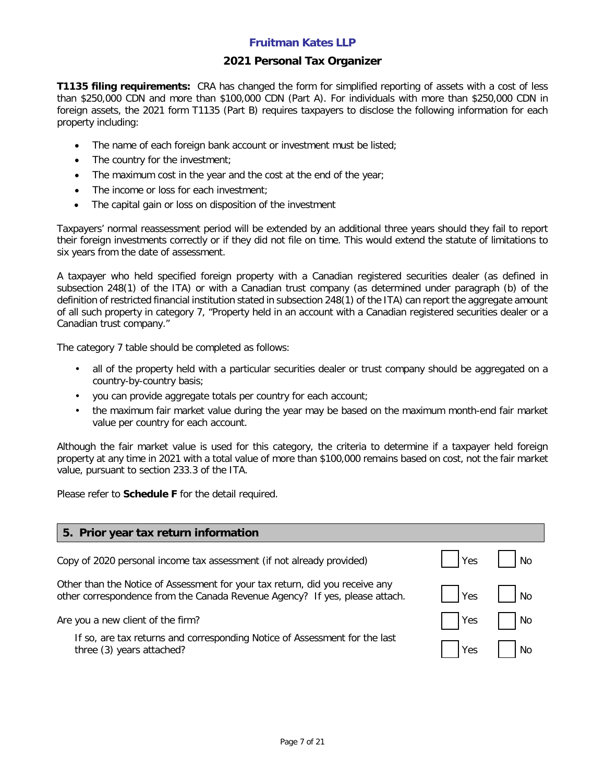#### **2021 Personal Tax Organizer**

**T1135 filing requirements:** CRA has changed the form for simplified reporting of assets with a cost of less than \$250,000 CDN and more than \$100,000 CDN (Part A). For individuals with more than \$250,000 CDN in foreign assets, the 2021 form T1135 (Part B) requires taxpayers to disclose the following information for each property including:

- The name of each foreign bank account or investment must be listed;
- The country for the investment;
- The maximum cost in the year and the cost at the end of the year;
- The income or loss for each investment;
- The capital gain or loss on disposition of the investment

Taxpayers' normal reassessment period will be extended by an additional three years should they fail to report their foreign investments correctly or if they did not file on time. This would extend the statute of limitations to six years from the date of assessment.

A taxpayer who held specified foreign property with a Canadian registered securities dealer (as defined in subsection 248(1) of the ITA) or with a Canadian trust company (as determined under paragraph (b) of the definition of restricted financial institution stated in subsection 248(1) of the ITA) can report the aggregate amount of all such property in category 7, "Property held in an account with a Canadian registered securities dealer or a Canadian trust company."

The category 7 table should be completed as follows:

- all of the property held with a particular securities dealer or trust company should be aggregated on a country-by-country basis;
- you can provide aggregate totals per country for each account;
- the maximum fair market value during the year may be based on the maximum month-end fair market value per country for each account.

Although the fair market value is used for this category, the criteria to determine if a taxpayer held foreign property at any time in 2021 with a total value of more than \$100,000 remains based on cost, not the fair market value, pursuant to section 233.3 of the ITA.

Please refer to **Schedule F** for the detail required.

| 5. Prior year tax return information                                                                                                                        |            |           |
|-------------------------------------------------------------------------------------------------------------------------------------------------------------|------------|-----------|
| Copy of 2020 personal income tax assessment (if not already provided)                                                                                       | <b>Yes</b> | <b>No</b> |
| Other than the Notice of Assessment for your tax return, did you receive any<br>other correspondence from the Canada Revenue Agency? If yes, please attach. | Yes        | <b>No</b> |
| Are you a new client of the firm?                                                                                                                           | <b>Yes</b> | No        |
| If so, are tax returns and corresponding Notice of Assessment for the last<br>three (3) years attached?                                                     | Yes        | <b>No</b> |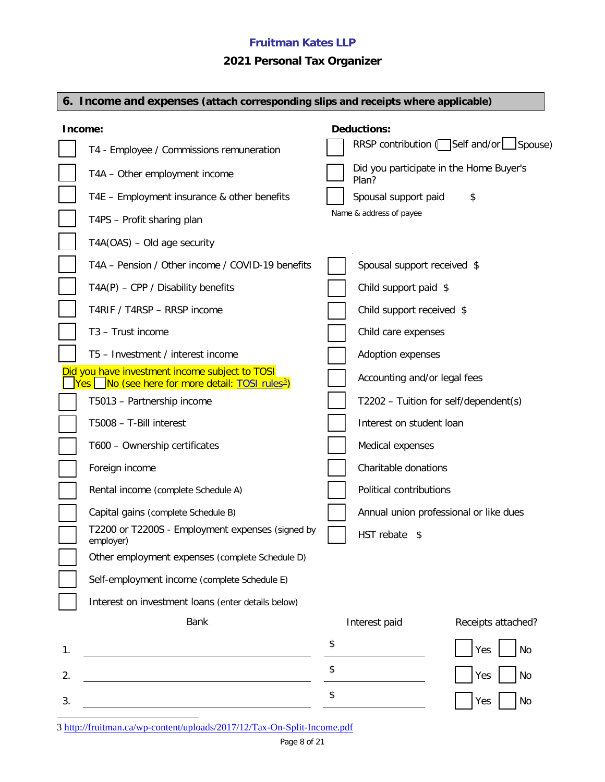# **2021 Personal Tax Organizer**

|    | 6. Income and expenses (attach corresponding slips and receipts where applicable)                               |    |                              |                                         |  |
|----|-----------------------------------------------------------------------------------------------------------------|----|------------------------------|-----------------------------------------|--|
|    | Income:                                                                                                         |    | <b>Deductions:</b>           |                                         |  |
|    | T4 - Employee / Commissions remuneration                                                                        |    |                              | RRSP contribution (Self and/or Spouse)  |  |
|    | T4A - Other employment income                                                                                   |    | Plan?                        | Did you participate in the Home Buyer's |  |
|    | T4E - Employment insurance & other benefits                                                                     |    | Spousal support paid         | \$                                      |  |
|    | T4PS - Profit sharing plan                                                                                      |    | Name & address of payee      |                                         |  |
|    | T4A(OAS) - Old age security                                                                                     |    |                              |                                         |  |
|    | T4A - Pension / Other income / COVID-19 benefits                                                                |    | Spousal support received \$  |                                         |  |
|    | $TA(P)$ – CPP / Disability benefits                                                                             |    | Child support paid \$        |                                         |  |
|    | T4RIF / T4RSP - RRSP income                                                                                     |    | Child support received \$    |                                         |  |
|    | T3 - Trust income                                                                                               |    | Child care expenses          |                                         |  |
|    | T5 - Investment / interest income                                                                               |    | <b>Adoption expenses</b>     |                                         |  |
|    | Did you have investment income subject to TOSI<br>Yes   No (see here for more detail: TOSI rules <sup>3</sup> ) |    | Accounting and/or legal fees |                                         |  |
|    | T5013 - Partnership income                                                                                      |    |                              | T2202 - Tuition for self/dependent(s)   |  |
|    | T5008 - T-Bill interest                                                                                         |    | Interest on student loan     |                                         |  |
|    | T600 - Ownership certificates                                                                                   |    | Medical expenses             |                                         |  |
|    | Foreign income                                                                                                  |    | Charitable donations         |                                         |  |
|    | Rental income (complete Schedule A)                                                                             |    | Political contributions      |                                         |  |
|    | Capital gains (complete Schedule B)                                                                             |    |                              | Annual union professional or like dues  |  |
|    | T2200 or T2200S - Employment expenses (signed by<br>employer)                                                   |    | HST rebate \$                |                                         |  |
|    | Other employment expenses (complete Schedule D)                                                                 |    |                              |                                         |  |
|    | Self-employment income (complete Schedule E)                                                                    |    |                              |                                         |  |
|    | Interest on investment loans (enter details below)                                                              |    |                              |                                         |  |
|    | <b>Bank</b>                                                                                                     |    | Interest paid                | Receipts attached?                      |  |
| 1. |                                                                                                                 | \$ |                              | <b>No</b><br>Yes                        |  |
| 2. |                                                                                                                 | \$ |                              | <b>No</b><br>Yes                        |  |
| 3. |                                                                                                                 | \$ |                              | No<br>Yes                               |  |

<span id="page-7-0"></span>3<http://fruitman.ca/wp-content/uploads/2017/12/Tax-On-Split-Income.pdf>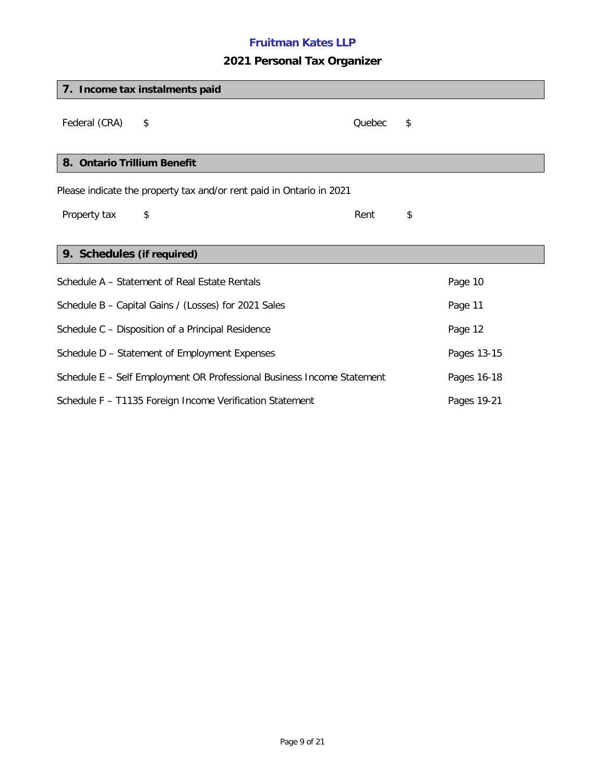# **2021 Personal Tax Organizer**

|                                                                         | 7. Income tax instalments paid                                                        |        |    |         |  |
|-------------------------------------------------------------------------|---------------------------------------------------------------------------------------|--------|----|---------|--|
| Federal (CRA)                                                           | \$                                                                                    | Quebec | \$ |         |  |
| 8. Ontario Trillium Benefit                                             |                                                                                       |        |    |         |  |
|                                                                         | Please indicate the property tax and/or rent paid in Ontario in 2021                  |        |    |         |  |
| Property tax                                                            | \$                                                                                    | Rent   | \$ |         |  |
|                                                                         |                                                                                       |        |    |         |  |
| 9. Schedules (if required)                                              |                                                                                       |        |    |         |  |
|                                                                         | Schedule A - Statement of Real Estate Rentals                                         |        |    | Page 10 |  |
|                                                                         | Schedule B - Capital Gains / (Losses) for 2021 Sales                                  |        |    | Page 11 |  |
|                                                                         | Schedule C - Disposition of a Principal Residence                                     |        |    | Page 12 |  |
|                                                                         | Schedule D - Statement of Employment Expenses<br>Pages 13-15                          |        |    |         |  |
|                                                                         | Schedule E - Self Employment OR Professional Business Income Statement<br>Pages 16-18 |        |    |         |  |
| Schedule F - T1135 Foreign Income Verification Statement<br>Pages 19-21 |                                                                                       |        |    |         |  |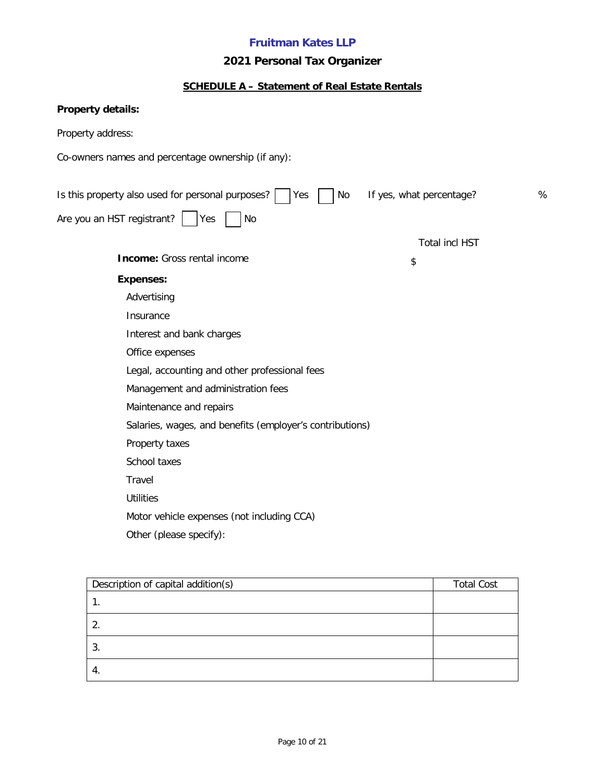# **2021 Personal Tax Organizer**

# **SCHEDULE A – Statement of Real Estate Rentals**

| Property details:                                                                               |  |
|-------------------------------------------------------------------------------------------------|--|
| Property address:                                                                               |  |
| Co-owners names and percentage ownership (if any):                                              |  |
|                                                                                                 |  |
| Is this property also used for personal purposes?<br>If yes, what percentage?<br>%<br>Yes<br>No |  |
| Are you an HST registrant?<br>Yes<br>No                                                         |  |
| <b>Total incl HST</b>                                                                           |  |
| <b>Income:</b> Gross rental income<br>\$                                                        |  |
| <b>Expenses:</b>                                                                                |  |
| Advertising                                                                                     |  |
| Insurance                                                                                       |  |
| Interest and bank charges                                                                       |  |
| Office expenses                                                                                 |  |
| Legal, accounting and other professional fees                                                   |  |
| Management and administration fees                                                              |  |
| Maintenance and repairs                                                                         |  |
| Salaries, wages, and benefits (employer's contributions)                                        |  |
| Property taxes                                                                                  |  |
| School taxes                                                                                    |  |
| Travel                                                                                          |  |
| <b>Utilities</b>                                                                                |  |
| Motor vehicle expenses (not including CCA)                                                      |  |
| Other (please specify):                                                                         |  |

| Description of capital addition(s) | <b>Total Cost</b> |
|------------------------------------|-------------------|
|                                    |                   |
|                                    |                   |
|                                    |                   |
| 4.                                 |                   |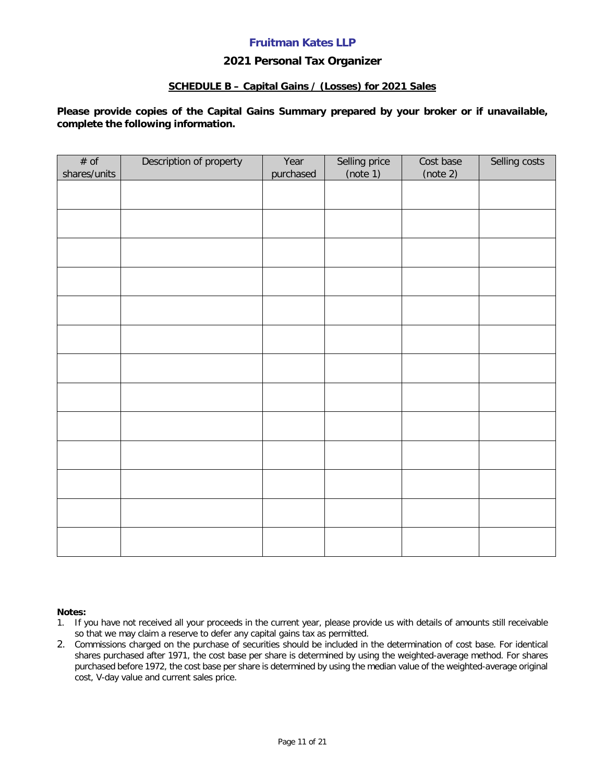#### **2021 Personal Tax Organizer**

#### **SCHEDULE B – Capital Gains / (Losses) for 2021 Sales**

**Please provide copies of the Capital Gains Summary prepared by your broker or if unavailable, complete the following information.**

| # of<br>shares/units | Description of property | Year<br>purchased | Selling price<br>(note 1) | Cost base<br>(note 2) | Selling costs |
|----------------------|-------------------------|-------------------|---------------------------|-----------------------|---------------|
|                      |                         |                   |                           |                       |               |
|                      |                         |                   |                           |                       |               |
|                      |                         |                   |                           |                       |               |
|                      |                         |                   |                           |                       |               |
|                      |                         |                   |                           |                       |               |
|                      |                         |                   |                           |                       |               |
|                      |                         |                   |                           |                       |               |
|                      |                         |                   |                           |                       |               |
|                      |                         |                   |                           |                       |               |
|                      |                         |                   |                           |                       |               |
|                      |                         |                   |                           |                       |               |
|                      |                         |                   |                           |                       |               |
|                      |                         |                   |                           |                       |               |
|                      |                         |                   |                           |                       |               |

#### **Notes:**

- 1. If you have not received all your proceeds in the current year, please provide us with details of amounts still receivable so that we may claim a reserve to defer any capital gains tax as permitted.
- 2. Commissions charged on the purchase of securities should be included in the determination of cost base. For identical shares purchased after 1971, the cost base per share is determined by using the weighted-average method. For shares purchased before 1972, the cost base per share is determined by using the median value of the weighted-average original cost, V-day value and current sales price.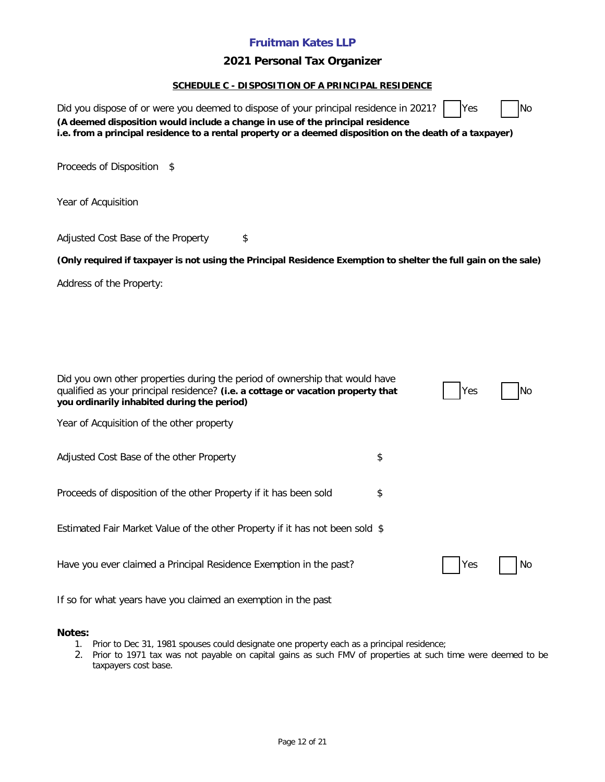### **2021 Personal Tax Organizer**

#### **SCHEDULE C - DISPOSITION OF A PRINCIPAL RESIDENCE**

| Did you dispose of or were you deemed to dispose of your principal residence in 2021?<br>(A deemed disposition would include a change in use of the principal residence<br>i.e. from a principal residence to a rental property or a deemed disposition on the death of a taxpayer) | Yes | N <sub>o</sub> |
|-------------------------------------------------------------------------------------------------------------------------------------------------------------------------------------------------------------------------------------------------------------------------------------|-----|----------------|
| Proceeds of Disposition<br>\$                                                                                                                                                                                                                                                       |     |                |
| Year of Acquisition                                                                                                                                                                                                                                                                 |     |                |
| Adjusted Cost Base of the Property<br>\$                                                                                                                                                                                                                                            |     |                |
| (Only required if taxpayer is not using the Principal Residence Exemption to shelter the full gain on the sale)                                                                                                                                                                     |     |                |
| Address of the Property:                                                                                                                                                                                                                                                            |     |                |
|                                                                                                                                                                                                                                                                                     |     |                |
| Did you own other properties during the period of ownership that would have<br>qualified as your principal residence? (i.e. a cottage or vacation property that<br>you ordinarily inhabited during the period)                                                                      | Yes | No             |
| Year of Acquisition of the other property                                                                                                                                                                                                                                           |     |                |
| Adjusted Cost Base of the other Property                                                                                                                                                                                                                                            | \$  |                |
| Proceeds of disposition of the other Property if it has been sold                                                                                                                                                                                                                   | \$  |                |
| Estimated Fair Market Value of the other Property if it has not been sold \$                                                                                                                                                                                                        |     |                |
| Have you ever claimed a Principal Residence Exemption in the past?                                                                                                                                                                                                                  | Yes | No             |
| If so for what years have you claimed an exemption in the past                                                                                                                                                                                                                      |     |                |

### **Notes:**

- 1. Prior to Dec 31, 1981 spouses could designate one property each as a principal residence;
- 2. Prior to 1971 tax was not payable on capital gains as such FMV of properties at such time were deemed to be taxpayers cost base.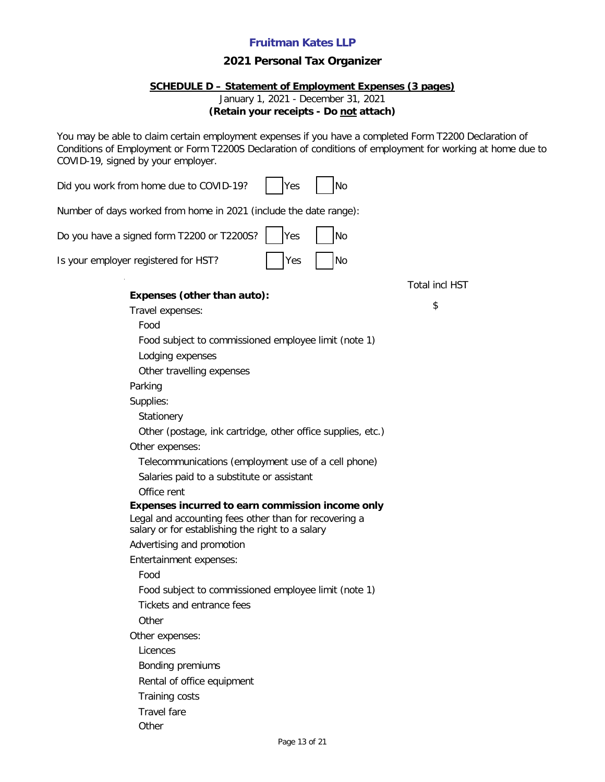### **2021 Personal Tax Organizer**

#### **SCHEDULE D – Statement of Employment Expenses (3 pages)**

January 1, 2021 - December 31, 2021

**(Retain your receipts - Do not attach)**

You may be able to claim certain employment expenses if you have a completed Form T2200 Declaration of Conditions of Employment or Form T2200S Declaration of conditions of employment for working at home due to COVID-19, signed by your employer.

| Did you work from home due to COVID-19?<br>No<br>Yes                                                      |                       |
|-----------------------------------------------------------------------------------------------------------|-----------------------|
| Number of days worked from home in 2021 (include the date range):                                         |                       |
| Do you have a signed form T2200 or T2200S?<br>Yes<br>No                                                   |                       |
| Is your employer registered for HST?<br>No<br>Yes                                                         |                       |
| Expenses (other than auto):                                                                               | <b>Total incl HST</b> |
|                                                                                                           | \$                    |
| Travel expenses:                                                                                          |                       |
| Food                                                                                                      |                       |
| Food subject to commissioned employee limit (note 1)                                                      |                       |
| Lodging expenses                                                                                          |                       |
| Other travelling expenses                                                                                 |                       |
| Parking                                                                                                   |                       |
| Supplies:                                                                                                 |                       |
| Stationery                                                                                                |                       |
| Other (postage, ink cartridge, other office supplies, etc.)                                               |                       |
| Other expenses:                                                                                           |                       |
| Telecommunications (employment use of a cell phone)                                                       |                       |
| Salaries paid to a substitute or assistant                                                                |                       |
| Office rent                                                                                               |                       |
| Expenses incurred to earn commission income only                                                          |                       |
| Legal and accounting fees other than for recovering a<br>salary or for establishing the right to a salary |                       |
| Advertising and promotion                                                                                 |                       |
| Entertainment expenses:                                                                                   |                       |
| Food                                                                                                      |                       |
| Food subject to commissioned employee limit (note 1)                                                      |                       |
| Tickets and entrance fees                                                                                 |                       |
| Other                                                                                                     |                       |
| Other expenses:                                                                                           |                       |
| Licences                                                                                                  |                       |
| Bonding premiums                                                                                          |                       |
| Rental of office equipment                                                                                |                       |
| Training costs                                                                                            |                       |
| <b>Travel fare</b>                                                                                        |                       |
| Other                                                                                                     |                       |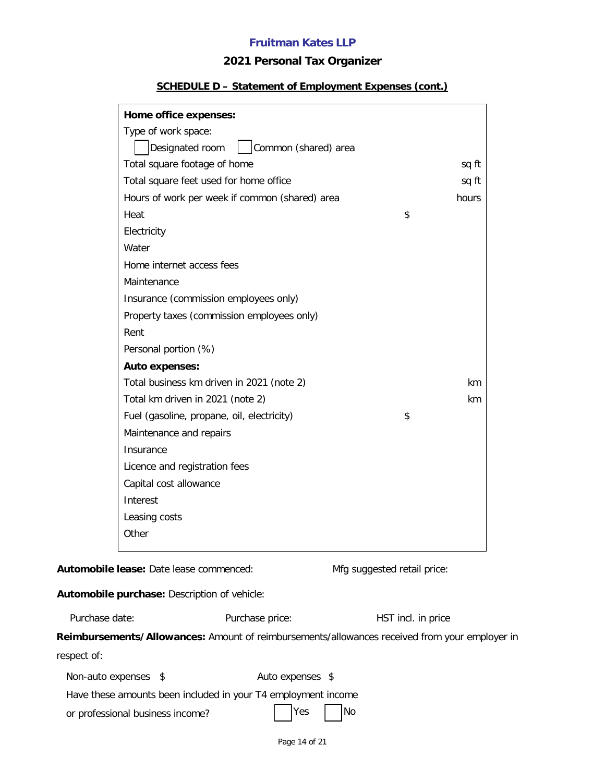## **2021 Personal Tax Organizer**

#### **SCHEDULE D – Statement of Employment Expenses (cont.)**

| Home office expenses:                          |       |
|------------------------------------------------|-------|
| Type of work space:                            |       |
| Common (shared) area<br>Designated room        |       |
| Total square footage of home                   | sq ft |
| Total square feet used for home office         | sq ft |
| Hours of work per week if common (shared) area | hours |
| Heat                                           | \$    |
| Electricity                                    |       |
| Water                                          |       |
| Home internet access fees                      |       |
| Maintenance                                    |       |
| Insurance (commission employees only)          |       |
| Property taxes (commission employees only)     |       |
| Rent                                           |       |
| Personal portion (%)                           |       |
| <b>Auto expenses:</b>                          |       |
| Total business km driven in 2021 (note 2)      | km    |
| Total km driven in 2021 (note 2)               | km.   |
| Fuel (gasoline, propane, oil, electricity)     | \$    |
| Maintenance and repairs                        |       |
| Insurance                                      |       |
| Licence and registration fees                  |       |
| Capital cost allowance                         |       |
| Interest                                       |       |
| Leasing costs                                  |       |
| Other                                          |       |
|                                                |       |

Automobile lease: Date lease commenced: Mfg suggested retail price:

## **Automobile purchase:** Description of vehicle:

Purchase price: HST incl. in price

| Reimbursements/Allowances: Amount of reimbursements/allowances received from your employer in |  |
|-----------------------------------------------------------------------------------------------|--|
| respect of:                                                                                   |  |

| Non-auto expenses \$             |                                                               | Auto expenses \$ |  |
|----------------------------------|---------------------------------------------------------------|------------------|--|
|                                  | Have these amounts been included in your T4 employment income |                  |  |
| or professional business income? |                                                               | Yes No           |  |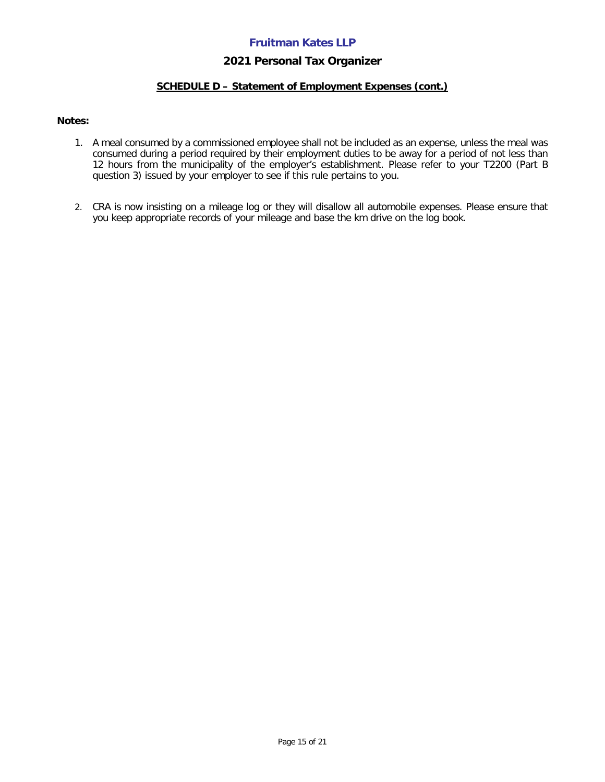#### **2021 Personal Tax Organizer**

#### **SCHEDULE D – Statement of Employment Expenses (cont.)**

#### **Notes:**

- 1. A meal consumed by a commissioned employee shall not be included as an expense, unless the meal was consumed during a period required by their employment duties to be away for a period of not less than 12 hours from the municipality of the employer's establishment. Please refer to your T2200 (Part B question 3) issued by your employer to see if this rule pertains to you.
- 2. CRA is now insisting on a mileage log or they will disallow all automobile expenses. Please ensure that you keep appropriate records of your mileage and base the km drive on the log book.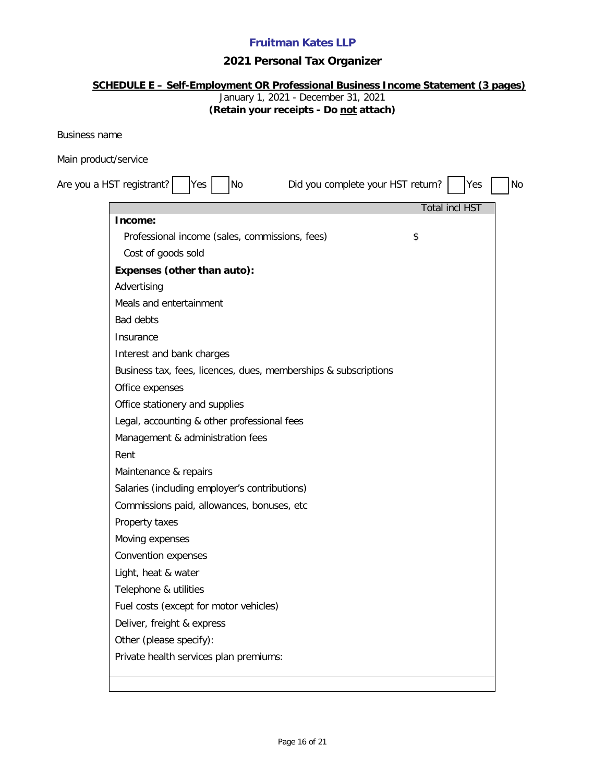# **2021 Personal Tax Organizer**

| <b>SCHEDULE E - Self-Employment OR Professional Business Income Statement (3 pages)</b><br>January 1, 2021 - December 31, 2021<br>(Retain your receipts - Do not attach) |    |
|--------------------------------------------------------------------------------------------------------------------------------------------------------------------------|----|
| <b>Business name</b>                                                                                                                                                     |    |
| Main product/service                                                                                                                                                     |    |
| Are you a HST registrant?<br>Did you complete your HST return?<br><b>No</b><br>Yes<br>lYes                                                                               | No |
| <b>Total incl HST</b><br>Income:                                                                                                                                         |    |
| Professional income (sales, commissions, fees)<br>\$                                                                                                                     |    |
| Cost of goods sold                                                                                                                                                       |    |
| Expenses (other than auto):                                                                                                                                              |    |
| Advertising                                                                                                                                                              |    |
| Meals and entertainment                                                                                                                                                  |    |
| <b>Bad debts</b>                                                                                                                                                         |    |
| Insurance                                                                                                                                                                |    |
| Interest and bank charges                                                                                                                                                |    |
| Business tax, fees, licences, dues, memberships & subscriptions                                                                                                          |    |
| Office expenses                                                                                                                                                          |    |
| Office stationery and supplies                                                                                                                                           |    |
| Legal, accounting & other professional fees                                                                                                                              |    |
| Management & administration fees                                                                                                                                         |    |
| Rent                                                                                                                                                                     |    |
| Maintenance & repairs                                                                                                                                                    |    |
| Salaries (including employer's contributions)                                                                                                                            |    |
| Commissions paid, allowances, bonuses, etc                                                                                                                               |    |
| Property taxes                                                                                                                                                           |    |
| Moving expenses                                                                                                                                                          |    |
| Convention expenses                                                                                                                                                      |    |
| Light, heat & water                                                                                                                                                      |    |
| Telephone & utilities                                                                                                                                                    |    |
| Fuel costs (except for motor vehicles)                                                                                                                                   |    |
| Deliver, freight & express                                                                                                                                               |    |
| Other (please specify):                                                                                                                                                  |    |
| Private health services plan premiums:                                                                                                                                   |    |
|                                                                                                                                                                          |    |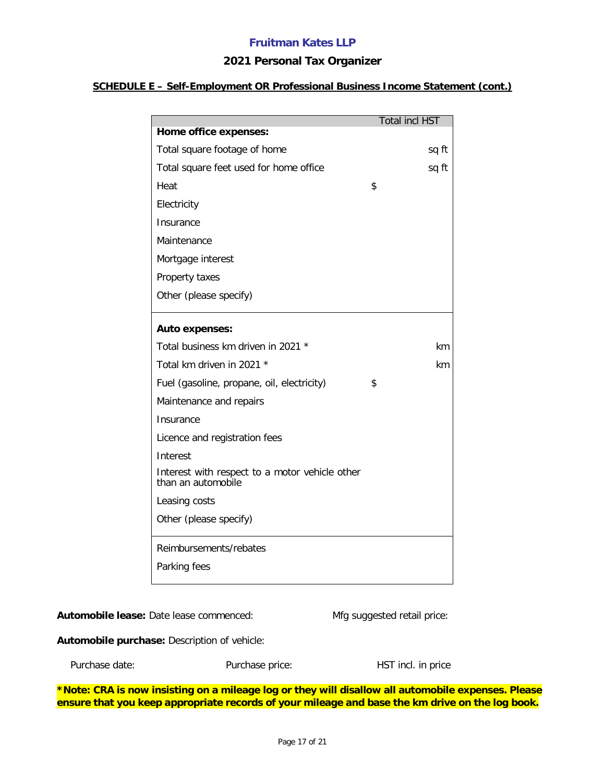#### **2021 Personal Tax Organizer**

#### **SCHEDULE E – Self-Employment OR Professional Business Income Statement (cont.)**

|                                                                      | <b>Total incl HST</b> |  |
|----------------------------------------------------------------------|-----------------------|--|
| Home office expenses:                                                |                       |  |
| Total square footage of home                                         | sq ft                 |  |
| Total square feet used for home office                               | sq ft                 |  |
| Heat                                                                 | \$                    |  |
| Electricity                                                          |                       |  |
| Insurance                                                            |                       |  |
| Maintenance                                                          |                       |  |
| Mortgage interest                                                    |                       |  |
| Property taxes                                                       |                       |  |
| Other (please specify)                                               |                       |  |
|                                                                      |                       |  |
| <b>Auto expenses:</b>                                                |                       |  |
| Total business km driven in 2021 *                                   | km                    |  |
| Total km driven in 2021 *                                            | km                    |  |
| Fuel (gasoline, propane, oil, electricity)                           | \$                    |  |
| Maintenance and repairs                                              |                       |  |
| Insurance                                                            |                       |  |
| Licence and registration fees                                        |                       |  |
| Interest                                                             |                       |  |
| Interest with respect to a motor vehicle other<br>than an automobile |                       |  |
| Leasing costs                                                        |                       |  |
| Other (please specify)                                               |                       |  |
| Reimbursements/rebates                                               |                       |  |
| Parking fees                                                         |                       |  |
|                                                                      |                       |  |

Automobile lease: Date lease commenced: Mfg suggested retail price:

**Automobile purchase:** Description of vehicle:

| Purchase date: | Purchase price: | HST incl. in price |
|----------------|-----------------|--------------------|
|                |                 |                    |

**\*Note: CRA is now insisting on a mileage log or they will disallow all automobile expenses. Please ensure that you keep appropriate records of your mileage and base the km drive on the log book.**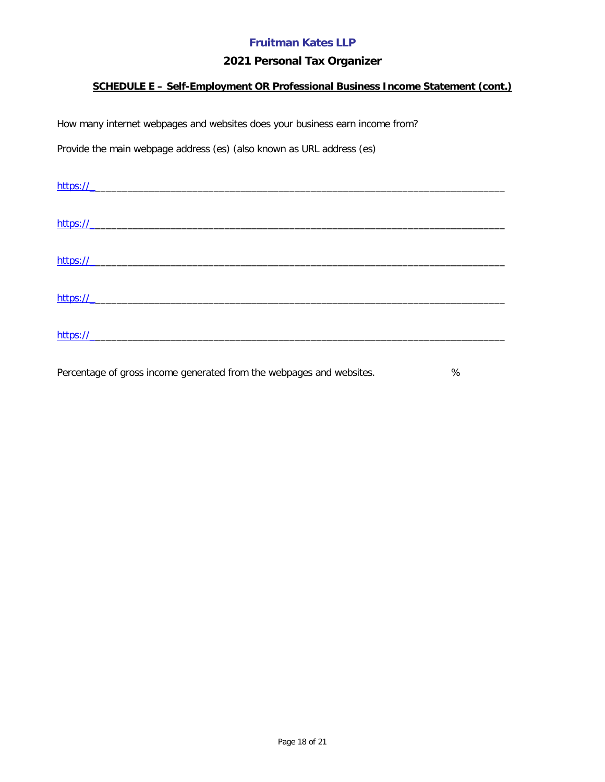## **2021 Personal Tax Organizer**

### **SCHEDULE E – Self-Employment OR Professional Business Income Statement (cont.)**

How many internet webpages and websites does your business earn income from?

Provide the main webpage address (es) (also known as URL address (es)

| https:// |  |  |
|----------|--|--|
|          |  |  |
|          |  |  |
| https:// |  |  |
|          |  |  |
| https:// |  |  |
|          |  |  |
| https:// |  |  |
|          |  |  |
|          |  |  |
| https:// |  |  |

Percentage of gross income generated from the webpages and websites.  $\%$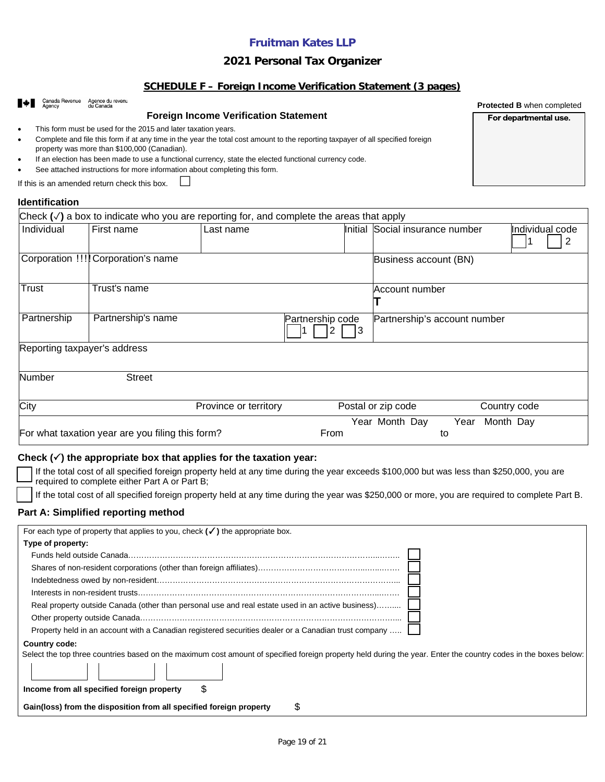### **2021 Personal Tax Organizer**

#### **SCHEDULE F – Foreign Income Verification Statement (3 pages)**

| Canada Revenue<br>$\bullet$<br>$\bullet$<br>٠<br>If this is an amended return check this box. | Agence du revenu<br>du Canada<br>This form must be used for the 2015 and later taxation years.<br>property was more than \$100,000 (Canadian). | <b>Foreign Income Verification Statement</b><br>Complete and file this form if at any time in the year the total cost amount to the reporting taxpayer of all specified foreign<br>If an election has been made to use a functional currency, state the elected functional currency code.<br>See attached instructions for more information about completing this form. |                  |         |                              |            |              | <b>Protected B when completed</b><br>For departmental use. |  |
|-----------------------------------------------------------------------------------------------|------------------------------------------------------------------------------------------------------------------------------------------------|-------------------------------------------------------------------------------------------------------------------------------------------------------------------------------------------------------------------------------------------------------------------------------------------------------------------------------------------------------------------------|------------------|---------|------------------------------|------------|--------------|------------------------------------------------------------|--|
| <b>Identification</b>                                                                         |                                                                                                                                                |                                                                                                                                                                                                                                                                                                                                                                         |                  |         |                              |            |              |                                                            |  |
|                                                                                               |                                                                                                                                                | Check $(\checkmark)$ a box to indicate who you are reporting for, and complete the areas that apply                                                                                                                                                                                                                                                                     |                  |         |                              |            |              |                                                            |  |
| Individual                                                                                    | First name                                                                                                                                     | Last name                                                                                                                                                                                                                                                                                                                                                               |                  | Initial | Social insurance number      |            |              | Individual code<br>2                                       |  |
| Corporation !!!! Corporation's name                                                           |                                                                                                                                                |                                                                                                                                                                                                                                                                                                                                                                         |                  |         | Business account (BN)        |            |              |                                                            |  |
| Trust                                                                                         | Trust's name                                                                                                                                   |                                                                                                                                                                                                                                                                                                                                                                         |                  |         | Account number               |            |              |                                                            |  |
| Partnership                                                                                   | Partnership's name                                                                                                                             |                                                                                                                                                                                                                                                                                                                                                                         | Partnership code | 3       | Partnership's account number |            |              |                                                            |  |
| Reporting taxpayer's address                                                                  |                                                                                                                                                |                                                                                                                                                                                                                                                                                                                                                                         |                  |         |                              |            |              |                                                            |  |
| <b>Number</b>                                                                                 | <b>Street</b>                                                                                                                                  |                                                                                                                                                                                                                                                                                                                                                                         |                  |         |                              |            |              |                                                            |  |
| City                                                                                          |                                                                                                                                                | Province or territory                                                                                                                                                                                                                                                                                                                                                   |                  |         | Postal or zip code           |            | Country code |                                                            |  |
| For what taxation year are you filing this form?                                              |                                                                                                                                                |                                                                                                                                                                                                                                                                                                                                                                         | From             |         | Year Month Day               | Year<br>to | Month Day    |                                                            |  |

#### **Check () the appropriate box that applies for the taxation year:**

 If the total cost of all specified foreign property held at any time during the year exceeds \$100,000 but was less than \$250,000, you are required to complete either Part A or Part B;

If the total cost of all specified foreign property held at any time during the year was \$250,000 or more, you are required to complete Part B.

#### **Part A: Simplified reporting method**

| For each type of property that applies to you, check $(\checkmark)$ the appropriate box.                                                                        |
|-----------------------------------------------------------------------------------------------------------------------------------------------------------------|
| Type of property:                                                                                                                                               |
|                                                                                                                                                                 |
|                                                                                                                                                                 |
|                                                                                                                                                                 |
|                                                                                                                                                                 |
| Real property outside Canada (other than personal use and real estate used in an active business)                                                               |
|                                                                                                                                                                 |
| Property held in an account with a Canadian registered securities dealer or a Canadian trust company                                                            |
| Country code:                                                                                                                                                   |
| Select the top three countries based on the maximum cost amount of specified foreign property held during the year. Enter the country codes in the boxes below: |
|                                                                                                                                                                 |
| \$<br>Income from all specified foreign property                                                                                                                |
| S<br>Gain(loss) from the disposition from all specified foreign property                                                                                        |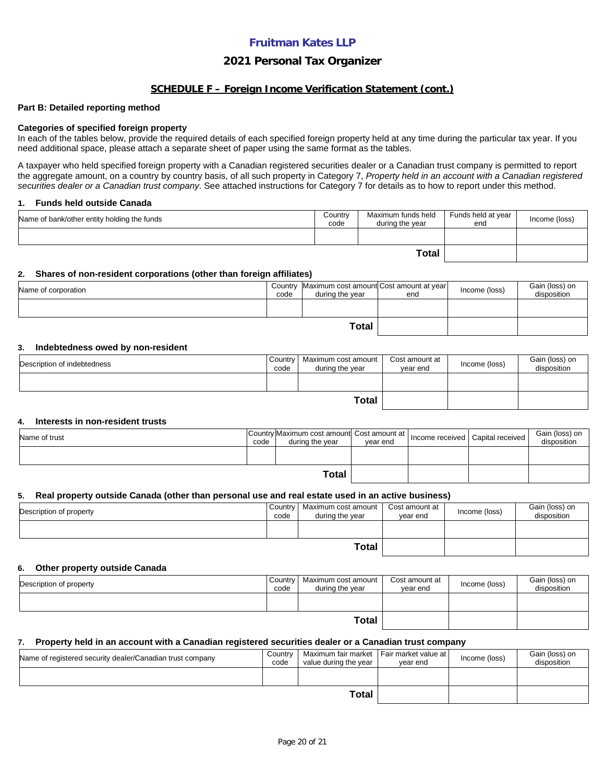#### **2021 Personal Tax Organizer**

#### **SCHEDULE F – Foreign Income Verification Statement (cont.)**

#### **Part B: Detailed reporting method**

#### **Categories of specified foreign property**

In each of the tables below, provide the required details of each specified foreign property held at any time during the particular tax year. If you need additional space, please attach a separate sheet of paper using the same format as the tables.

A taxpayer who held specified foreign property with a Canadian registered securities dealer or a Canadian trust company is permitted to report the aggregate amount, on a country by country basis, of all such property in Category 7, *Property held in an account with a Canadian registered securities dealer or a Canadian trust company*. See attached instructions for Category 7 for details as to how to report under this method.

#### **1. Funds held outside Canada**

| Name of bank/other entity holding the funds | Country<br>code | Maximum funds held<br>during the vear | Funds held at year<br>end | Income (loss) |
|---------------------------------------------|-----------------|---------------------------------------|---------------------------|---------------|
|                                             |                 |                                       |                           |               |
|                                             |                 |                                       |                           |               |

#### **2. Shares of non-resident corporations (other than foreign affiliates)**

| Name of corporation | code | Country Maximum cost amount Cost amount at year<br>during the year | end | Income (loss) | Gain (loss) on<br>disposition |
|---------------------|------|--------------------------------------------------------------------|-----|---------------|-------------------------------|
|                     |      |                                                                    |     |               |                               |
| Total               |      |                                                                    |     |               |                               |

#### **3. Indebtedness owed by non-resident**

| Description of indebtedness | Country<br>code | Maximum cost amount<br>during the vear | Cost amount at<br>vear end | Income (loss) | Gain (loss) on<br>disposition |
|-----------------------------|-----------------|----------------------------------------|----------------------------|---------------|-------------------------------|
|                             |                 |                                        |                            |               |                               |
|                             |                 |                                        |                            |               |                               |

#### **4. Interests in non-resident trusts**

| Name of trust | code | Country Maximum cost amount Cost amount at  <br>during the vear | vear end | Income received Capital received | Gain (loss) on<br>disposition |
|---------------|------|-----------------------------------------------------------------|----------|----------------------------------|-------------------------------|
|               |      |                                                                 |          |                                  |                               |
|               |      |                                                                 |          |                                  |                               |

#### **5. Real property outside Canada (other than personal use and real estate used in an active business)**

| Description of property | Country<br>code | Maximum cost amount  <br>during the year | Cost amount at<br>vear end | Income (loss) | Gain (loss) on<br>disposition |
|-------------------------|-----------------|------------------------------------------|----------------------------|---------------|-------------------------------|
|                         |                 |                                          |                            |               |                               |
| <b>Total</b>            |                 |                                          |                            |               |                               |

#### **6. Other property outside Canada**

| Description of property | Country<br>code | Maximum cost amount<br>during the year | Cost amount at<br>vear end | Income (loss) | Gain (loss) on<br>disposition |
|-------------------------|-----------------|----------------------------------------|----------------------------|---------------|-------------------------------|
|                         |                 |                                        |                            |               |                               |
|                         |                 |                                        |                            |               |                               |

#### **7. Property held in an account with a Canadian registered securities dealer or a Canadian trust company**

| Name of registered security dealer/Canadian trust company | Country<br>code | Maximum fair market   Fair market value at  <br>value during the year | vear end | Income (loss) | Gain (loss) on<br>disposition |
|-----------------------------------------------------------|-----------------|-----------------------------------------------------------------------|----------|---------------|-------------------------------|
|                                                           |                 |                                                                       |          |               |                               |
|                                                           |                 |                                                                       |          |               |                               |